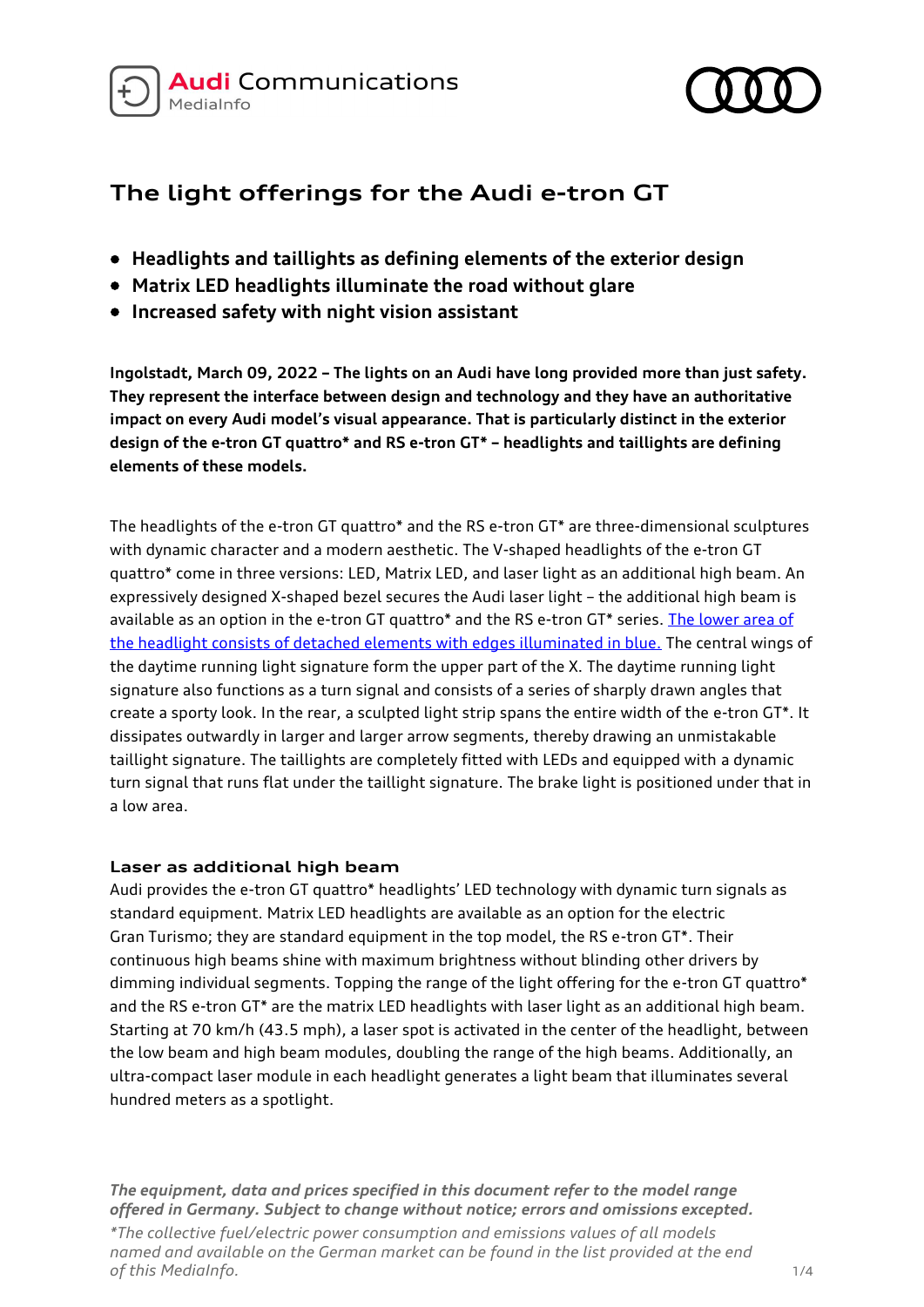



# **The light offerings for the Audi e-tron GT**

- **Headlights and taillights as defining elements of the exterior design**
- **Matrix LED headlights illuminate the road without glare**
- **Increased safety with night vision assistant**

**Ingolstadt, March 09, 2022 – The lights on an Audi have long provided more than just safety. They represent the interface between design and technology and they have an authoritative impact on every Audi model's visual appearance. That is particularly distinct in the exterior design of the e-tron GT quattro\* and RS e-tron GT\* – headlights and taillights are defining elements of these models.**

The headlights of the e-tron GT quattro\* and the RS e-tron GT\* are three-dimensional sculptures with dynamic character and a modern aesthetic. The V-shaped headlights of the e-tron GT quattro\* come in three versions: LED, Matrix LED, and laser light as an additional high beam. An expressively designed X-shaped bezel secures the Audi laser light – the additional high beam is available as an option in the e-tron GT quattro\* and the RS e-tron GT\* series. The lower area of [the headlight consists of detached elements with edges illuminated in blue.](https://www.audi-mediacenter.com/en/search?type=image&query=Audi%20laser%20light&order=relevance&filter=) The central wings of the daytime running light signature form the upper part of the X. The daytime running light signature also functions as a turn signal and consists of a series of sharply drawn angles that create a sporty look. In the rear, a sculpted light strip spans the entire width of the e-tron GT\*. It dissipates outwardly in larger and larger arrow segments, thereby drawing an unmistakable taillight signature. The taillights are completely fitted with LEDs and equipped with a dynamic turn signal that runs flat under the taillight signature. The brake light is positioned under that in a low area.

## **Laser as additional high beam**

Audi provides the e-tron GT quattro\* headlights' LED technology with dynamic turn signals as standard equipment. Matrix LED headlights are available as an option for the electric Gran Turismo; they are standard equipment in the top model, the RS e-tron GT\*. Their continuous high beams shine with maximum brightness without blinding other drivers by dimming individual segments. Topping the range of the light offering for the e-tron GT quattro\* and the RS e-tron GT\* are the matrix LED headlights with laser light as an additional high beam. Starting at 70 km/h (43.5 mph), a laser spot is activated in the center of the headlight, between the low beam and high beam modules, doubling the range of the high beams. Additionally, an ultra-compact laser module in each headlight generates a light beam that illuminates several hundred meters as a spotlight.

*The equipment, data and prices specified in this document refer to the model range offered in Germany. Subject to change without notice; errors and omissions excepted.*

*\*The collective fuel/electric power consumption and emissions values of all models named and available on the German market can be found in the list provided at the end of this MediaInfo.* 1/4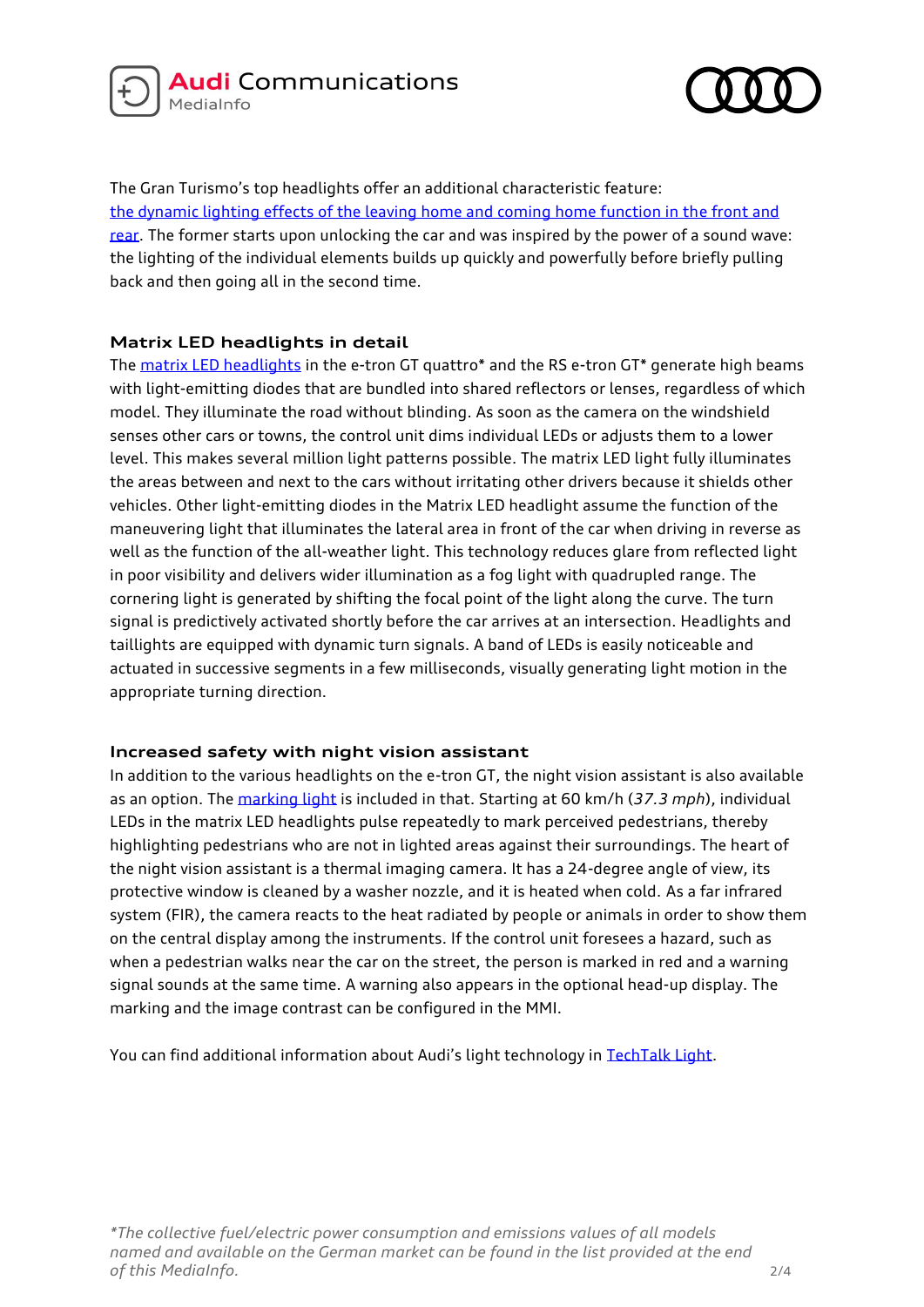



The Gran Turismo's top headlights offer an additional characteristic feature: [the dynamic lighting effects of the leaving home and coming home function in the front and](https://www.audi-mediacenter.com/en/audimediatv/video/footage-light-signatures-5336)  [rear.](https://www.audi-mediacenter.com/en/audimediatv/video/footage-light-signatures-5336) The former starts upon unlocking the car and was inspired by the power of a sound wave: the lighting of the individual elements builds up quickly and powerfully before briefly pulling back and then going all in the second time.

## **Matrix LED headlights in detail**

The [matrix LED headlights](https://www.audi-mediacenter.com/en/audimediatv/video/animation-audi-rs-e-tron-gt-lighting-technology-5485) in the e-tron GT quattro\* and the RS e-tron GT\* generate high beams with light-emitting diodes that are bundled into shared reflectors or lenses, regardless of which model. They illuminate the road without blinding. As soon as the camera on the windshield senses other cars or towns, the control unit dims individual LEDs or adjusts them to a lower level. This makes several million light patterns possible. The matrix LED light fully illuminates the areas between and next to the cars without irritating other drivers because it shields other vehicles. Other light-emitting diodes in the Matrix LED headlight assume the function of the maneuvering light that illuminates the lateral area in front of the car when driving in reverse as well as the function of the all-weather light. This technology reduces glare from reflected light in poor visibility and delivers wider illumination as a fog light with quadrupled range. The cornering light is generated by shifting the focal point of the light along the curve. The turn signal is predictively activated shortly before the car arrives at an intersection. Headlights and taillights are equipped with dynamic turn signals. A band of LEDs is easily noticeable and actuated in successive segments in a few milliseconds, visually generating light motion in the appropriate turning direction.

## **Increased safety with night vision assistant**

In addition to the various headlights on the e-tron GT, the night vision assistant is also available as an option. The [marking light](https://www.audi-mediacenter.com/en/search?type=image&query=marking%20light%20&order=relevance&filter=) is included in that. Starting at 60 km/h (*37.3 mph*), individual LEDs in the matrix LED headlights pulse repeatedly to mark perceived pedestrians, thereby highlighting pedestrians who are not in lighted areas against their surroundings. The heart of the night vision assistant is a thermal imaging camera. It has a 24-degree angle of view, its protective window is cleaned by a washer nozzle, and it is heated when cold. As a far infrared system (FIR), the camera reacts to the heat radiated by people or animals in order to show them on the central display among the instruments. If the control unit foresees a hazard, such as when a pedestrian walks near the car on the street, the person is marked in red and a warning signal sounds at the same time. A warning also appears in the optional head-up display. The marking and the image contrast can be configured in the MMI.

You can find additional information about Audi's light technology in [TechTalk Light.](https://www.audi-mediacenter.com/en/presskits/audi-techtalk-light-13349)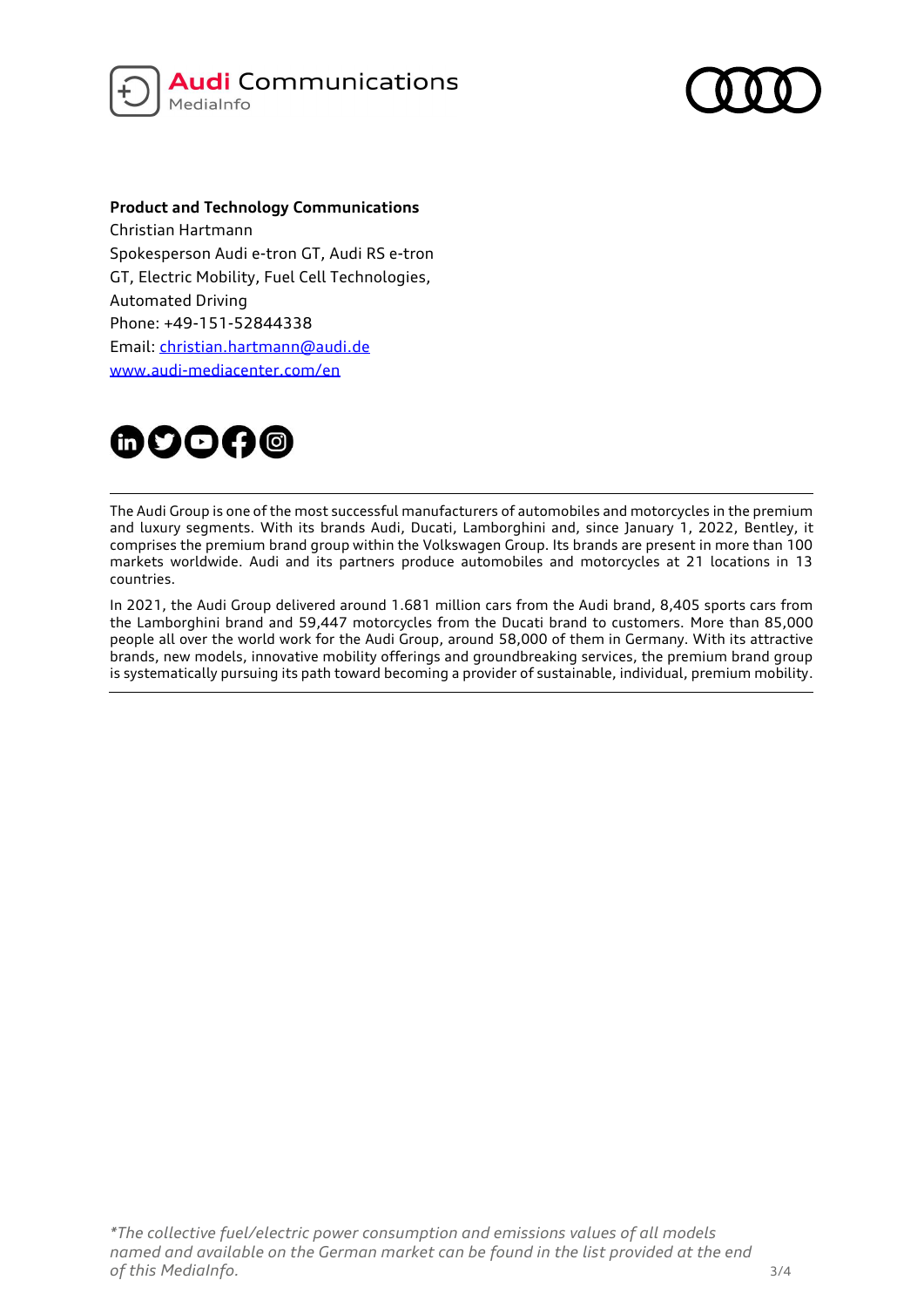



### **Product and Technology Communications**

Christian Hartmann Spokesperson Audi e-tron GT, Audi RS e-tron GT, Electric Mobility, Fuel Cell Technologies, Automated Driving Phone: +49-151-52844338 Email: [christian.hartmann@audi.de](mailto:christian.hartmann@audi.de) [www.audi-mediacenter.com/en](http://www.audi-mediacenter.com/de)



The Audi Group is one of the most successful manufacturers of automobiles and motorcycles in the premium and luxury segments. With its brands Audi, Ducati, Lamborghini and, since January 1, 2022, Bentley, it comprises the premium brand group within the Volkswagen Group. Its brands are present in more than 100 markets worldwide. Audi and its partners produce automobiles and motorcycles at 21 locations in 13 countries.

In 2021, the Audi Group delivered around 1.681 million cars from the Audi brand, 8,405 sports cars from the Lamborghini brand and 59,447 motorcycles from the Ducati brand to customers. More than 85,000 people all over the world work for the Audi Group, around 58,000 of them in Germany. With its attractive brands, new models, innovative mobility offerings and groundbreaking services, the premium brand group is systematically pursuing its path toward becoming a provider of sustainable, individual, premium mobility.